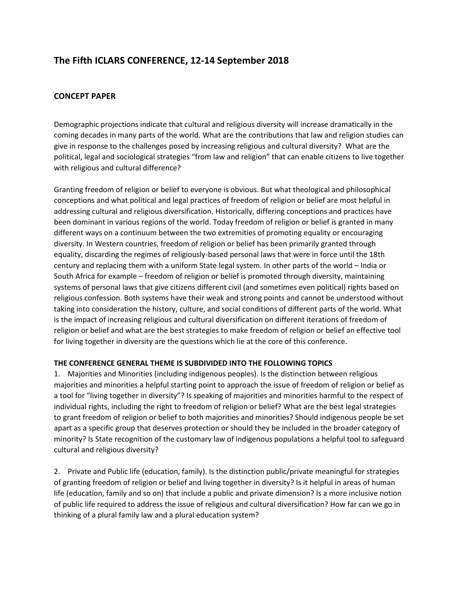## **The Fifth ICLARS CONFERENCE, 12-14 September 2018**

## **CONCEPT PAPER**

Demographic projections indicate that cultural and religious diversity will increase dramatically in the coming decades in many parts of the world. What are the contributions that law and religion studies can give in response to the challenges posed by increasing religious and cultural diversity? What are the political, legal and sociological strategies "from law and religion" that can enable citizens to live together with religious and cultural difference?

Granting freedom of religion or belief to everyone is obvious. But what theological and philosophical conceptions and what political and legal practices of freedom of religion or belief are most helpful in addressing cultural and religious diversification. Historically, differing conceptions and practices have been dominant in various regions of the world. Today freedom of religion or belief is granted in many different ways on a continuum between the two extremities of promoting equality or encouraging diversity. In Western countries, freedom of religion or belief has been primarily granted through equality, discarding the regimes of religiously-based personal laws that were in force until the 18th century and replacing them with a uniform State legal system. In other parts of the world – India or South Africa for example – freedom of religion or belief is promoted through diversity, maintaining systems of personal laws that give citizens different civil (and sometimes even political) rights based on religious confession. Both systems have their weak and strong points and cannot be understood without taking into consideration the history, culture, and social conditions of different parts of the world. What is the impact of increasing religious and cultural diversification on different iterations of freedom of religion or belief and what are the best strategies to make freedom of religion or belief an effective tool for living together in diversity are the questions which lie at the core of this conference.

## **THE CONFERENCE GENERAL THEME IS SUBDIVIDED INTO THE FOLLOWING TOPICS**

1. Majorities and Minorities (including indigenous peoples). Is the distinction between religious majorities and minorities a helpful starting point to approach the issue of freedom of religion or belief as a tool for "living together in diversity"? Is speaking of majorities and minorities harmful to the respect of individual rights, including the right to freedom of religion or belief? What are the best legal strategies to grant freedom of religion or belief to both majorities and minorities? Should indigenous people be set apart as a specific group that deserves protection or should they be included in the broader category of minority? Is State recognition of the customary law of indigenous populations a helpful tool to safeguard cultural and religious diversity?

2. Private and Public life (education, family). Is the distinction public/private meaningful for strategies of granting freedom of religion or belief and living together in diversity? Is it helpful in areas of human life (education, family and so on) that include a public and private dimension? Is a more inclusive notion of public life required to address the issue of religious and cultural diversification? How far can we go in thinking of a plural family law and a plural education system?